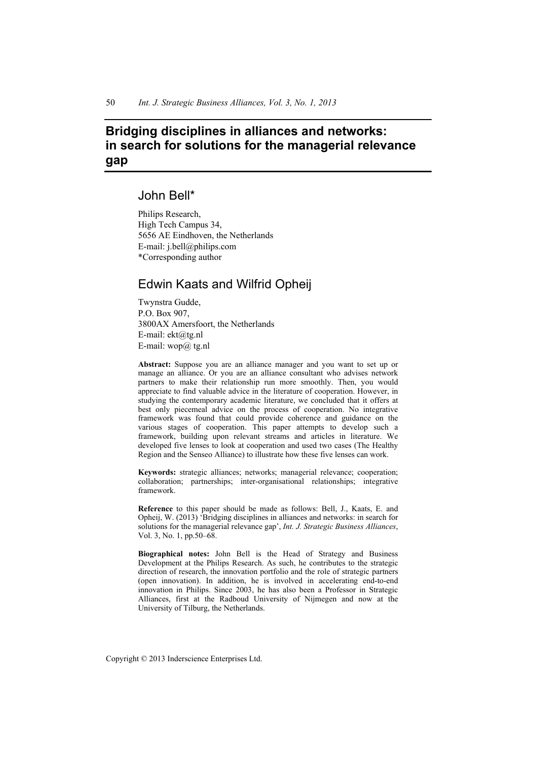# **Bridging disciplines in alliances and networks: in search for solutions for the managerial relevance gap**

# John Bell\*

Philips Research, High Tech Campus 34, 5656 AE Eindhoven, the Netherlands E-mail: j.bell@philips.com \*Corresponding author

## Edwin Kaats and Wilfrid Opheij

Twynstra Gudde, P.O. Box 907, 3800AX Amersfoort, the Netherlands E-mail: ekt@tg.nl E-mail: wop@ tg.nl

**Abstract:** Suppose you are an alliance manager and you want to set up or manage an alliance. Or you are an alliance consultant who advises network partners to make their relationship run more smoothly. Then, you would appreciate to find valuable advice in the literature of cooperation. However, in studying the contemporary academic literature, we concluded that it offers at best only piecemeal advice on the process of cooperation. No integrative framework was found that could provide coherence and guidance on the various stages of cooperation. This paper attempts to develop such a framework, building upon relevant streams and articles in literature. We developed five lenses to look at cooperation and used two cases (The Healthy Region and the Senseo Alliance) to illustrate how these five lenses can work.

**Keywords:** strategic alliances; networks; managerial relevance; cooperation; collaboration; partnerships; inter-organisational relationships; integrative framework.

**Reference** to this paper should be made as follows: Bell, J., Kaats, E. and Opheij, W. (2013) 'Bridging disciplines in alliances and networks: in search for solutions for the managerial relevance gap', *Int. J. Strategic Business Alliances*, Vol. 3, No. 1, pp.50–68.

**Biographical notes:** John Bell is the Head of Strategy and Business Development at the Philips Research. As such, he contributes to the strategic direction of research, the innovation portfolio and the role of strategic partners (open innovation). In addition, he is involved in accelerating end-to-end innovation in Philips. Since 2003, he has also been a Professor in Strategic Alliances, first at the Radboud University of Nijmegen and now at the University of Tilburg, the Netherlands.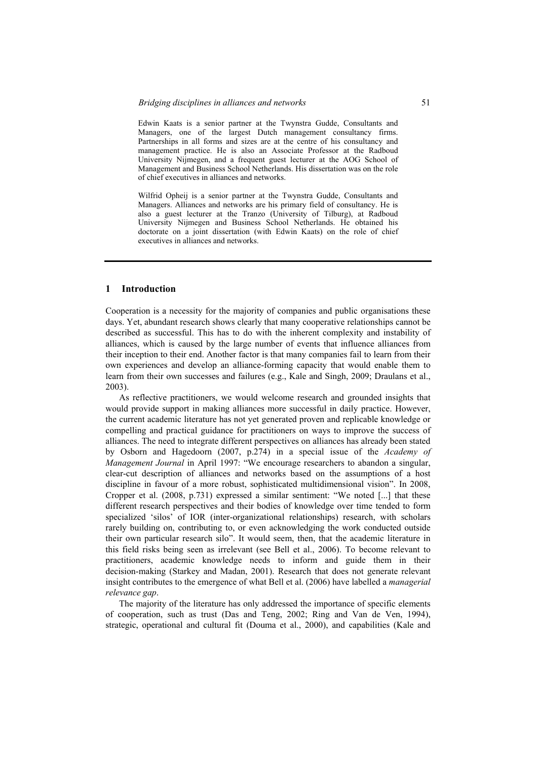Edwin Kaats is a senior partner at the Twynstra Gudde, Consultants and Managers, one of the largest Dutch management consultancy firms. Partnerships in all forms and sizes are at the centre of his consultancy and management practice. He is also an Associate Professor at the Radboud University Nijmegen, and a frequent guest lecturer at the AOG School of Management and Business School Netherlands. His dissertation was on the role of chief executives in alliances and networks.

Wilfrid Opheij is a senior partner at the Twynstra Gudde, Consultants and Managers. Alliances and networks are his primary field of consultancy. He is also a guest lecturer at the Tranzo (University of Tilburg), at Radboud University Nijmegen and Business School Netherlands. He obtained his doctorate on a joint dissertation (with Edwin Kaats) on the role of chief executives in alliances and networks.

#### **1 Introduction**

Cooperation is a necessity for the majority of companies and public organisations these days. Yet, abundant research shows clearly that many cooperative relationships cannot be described as successful. This has to do with the inherent complexity and instability of alliances, which is caused by the large number of events that influence alliances from their inception to their end. Another factor is that many companies fail to learn from their own experiences and develop an alliance-forming capacity that would enable them to learn from their own successes and failures (e.g., Kale and Singh, 2009; Draulans et al., 2003).

As reflective practitioners, we would welcome research and grounded insights that would provide support in making alliances more successful in daily practice. However, the current academic literature has not yet generated proven and replicable knowledge or compelling and practical guidance for practitioners on ways to improve the success of alliances. The need to integrate different perspectives on alliances has already been stated by Osborn and Hagedoorn (2007, p.274) in a special issue of the *Academy of Management Journal* in April 1997: "We encourage researchers to abandon a singular, clear-cut description of alliances and networks based on the assumptions of a host discipline in favour of a more robust, sophisticated multidimensional vision". In 2008, Cropper et al. (2008, p.731) expressed a similar sentiment: "We noted [...] that these different research perspectives and their bodies of knowledge over time tended to form specialized 'silos' of IOR (inter-organizational relationships) research, with scholars rarely building on, contributing to, or even acknowledging the work conducted outside their own particular research silo". It would seem, then, that the academic literature in this field risks being seen as irrelevant (see Bell et al., 2006). To become relevant to practitioners, academic knowledge needs to inform and guide them in their decision-making (Starkey and Madan, 2001). Research that does not generate relevant insight contributes to the emergence of what Bell et al. (2006) have labelled a *managerial relevance gap*.

The majority of the literature has only addressed the importance of specific elements of cooperation, such as trust (Das and Teng, 2002; Ring and Van de Ven, 1994), strategic, operational and cultural fit (Douma et al., 2000), and capabilities (Kale and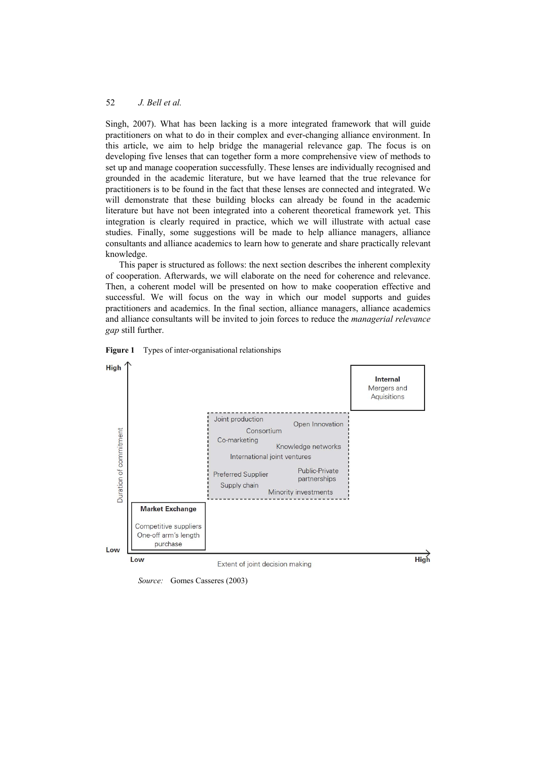Singh, 2007). What has been lacking is a more integrated framework that will guide practitioners on what to do in their complex and ever-changing alliance environment. In this article, we aim to help bridge the managerial relevance gap. The focus is on developing five lenses that can together form a more comprehensive view of methods to set up and manage cooperation successfully. These lenses are individually recognised and grounded in the academic literature, but we have learned that the true relevance for practitioners is to be found in the fact that these lenses are connected and integrated. We will demonstrate that these building blocks can already be found in the academic literature but have not been integrated into a coherent theoretical framework yet. This integration is clearly required in practice, which we will illustrate with actual case studies. Finally, some suggestions will be made to help alliance managers, alliance consultants and alliance academics to learn how to generate and share practically relevant knowledge.

This paper is structured as follows: the next section describes the inherent complexity of cooperation. Afterwards, we will elaborate on the need for coherence and relevance. Then, a coherent model will be presented on how to make cooperation effective and successful. We will focus on the way in which our model supports and guides practitioners and academics. In the final section, alliance managers, alliance academics and alliance consultants will be invited to join forces to reduce the *managerial relevance gap* still further.





*Source:* Gomes Casseres (2003)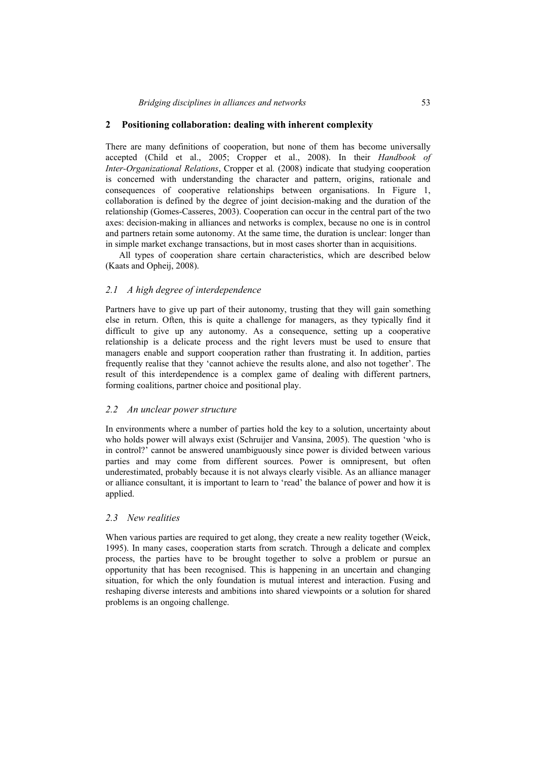## **2 Positioning collaboration: dealing with inherent complexity**

There are many definitions of cooperation, but none of them has become universally accepted (Child et al., 2005; Cropper et al., 2008). In their *Handbook of Inter-Organizational Relations*, Cropper et al*.* (2008) indicate that studying cooperation is concerned with understanding the character and pattern, origins, rationale and consequences of cooperative relationships between organisations. In Figure 1, collaboration is defined by the degree of joint decision-making and the duration of the relationship (Gomes-Casseres, 2003). Cooperation can occur in the central part of the two axes: decision-making in alliances and networks is complex, because no one is in control and partners retain some autonomy. At the same time, the duration is unclear: longer than in simple market exchange transactions, but in most cases shorter than in acquisitions.

All types of cooperation share certain characteristics, which are described below (Kaats and Opheij, 2008).

## *2.1 A high degree of interdependence*

Partners have to give up part of their autonomy, trusting that they will gain something else in return. Often, this is quite a challenge for managers, as they typically find it difficult to give up any autonomy. As a consequence, setting up a cooperative relationship is a delicate process and the right levers must be used to ensure that managers enable and support cooperation rather than frustrating it. In addition, parties frequently realise that they 'cannot achieve the results alone, and also not together'. The result of this interdependence is a complex game of dealing with different partners, forming coalitions, partner choice and positional play.

#### *2.2 An unclear power structure*

In environments where a number of parties hold the key to a solution, uncertainty about who holds power will always exist (Schruijer and Vansina, 2005). The question 'who is in control?' cannot be answered unambiguously since power is divided between various parties and may come from different sources. Power is omnipresent, but often underestimated, probably because it is not always clearly visible. As an alliance manager or alliance consultant, it is important to learn to 'read' the balance of power and how it is applied.

## *2.3 New realities*

When various parties are required to get along, they create a new reality together (Weick, 1995). In many cases, cooperation starts from scratch. Through a delicate and complex process, the parties have to be brought together to solve a problem or pursue an opportunity that has been recognised. This is happening in an uncertain and changing situation, for which the only foundation is mutual interest and interaction. Fusing and reshaping diverse interests and ambitions into shared viewpoints or a solution for shared problems is an ongoing challenge.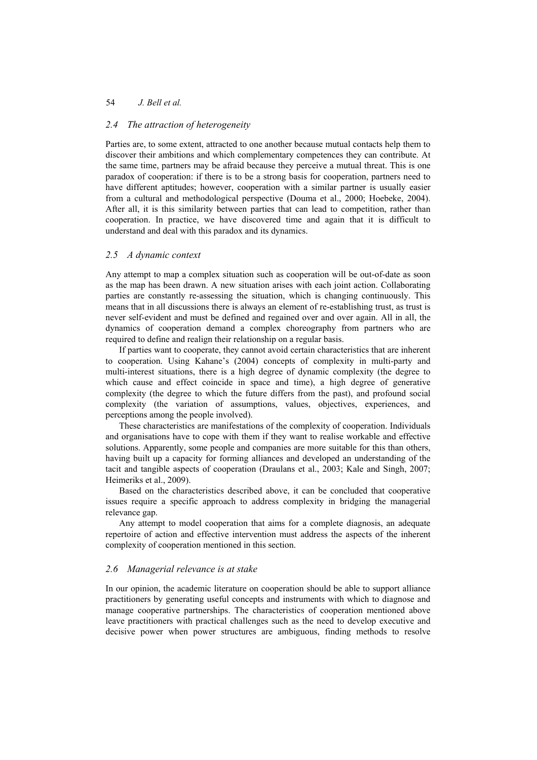## *2.4 The attraction of heterogeneity*

Parties are, to some extent, attracted to one another because mutual contacts help them to discover their ambitions and which complementary competences they can contribute. At the same time, partners may be afraid because they perceive a mutual threat. This is one paradox of cooperation: if there is to be a strong basis for cooperation, partners need to have different aptitudes; however, cooperation with a similar partner is usually easier from a cultural and methodological perspective (Douma et al., 2000; Hoebeke, 2004). After all, it is this similarity between parties that can lead to competition, rather than cooperation. In practice, we have discovered time and again that it is difficult to understand and deal with this paradox and its dynamics.

## *2.5 A dynamic context*

Any attempt to map a complex situation such as cooperation will be out-of-date as soon as the map has been drawn. A new situation arises with each joint action. Collaborating parties are constantly re-assessing the situation, which is changing continuously. This means that in all discussions there is always an element of re-establishing trust, as trust is never self-evident and must be defined and regained over and over again. All in all, the dynamics of cooperation demand a complex choreography from partners who are required to define and realign their relationship on a regular basis.

If parties want to cooperate, they cannot avoid certain characteristics that are inherent to cooperation. Using Kahane's (2004) concepts of complexity in multi-party and multi-interest situations, there is a high degree of dynamic complexity (the degree to which cause and effect coincide in space and time), a high degree of generative complexity (the degree to which the future differs from the past), and profound social complexity (the variation of assumptions, values, objectives, experiences, and perceptions among the people involved).

These characteristics are manifestations of the complexity of cooperation. Individuals and organisations have to cope with them if they want to realise workable and effective solutions. Apparently, some people and companies are more suitable for this than others, having built up a capacity for forming alliances and developed an understanding of the tacit and tangible aspects of cooperation (Draulans et al., 2003; Kale and Singh, 2007; Heimeriks et al., 2009).

Based on the characteristics described above, it can be concluded that cooperative issues require a specific approach to address complexity in bridging the managerial relevance gap.

Any attempt to model cooperation that aims for a complete diagnosis, an adequate repertoire of action and effective intervention must address the aspects of the inherent complexity of cooperation mentioned in this section.

#### *2.6 Managerial relevance is at stake*

In our opinion, the academic literature on cooperation should be able to support alliance practitioners by generating useful concepts and instruments with which to diagnose and manage cooperative partnerships. The characteristics of cooperation mentioned above leave practitioners with practical challenges such as the need to develop executive and decisive power when power structures are ambiguous, finding methods to resolve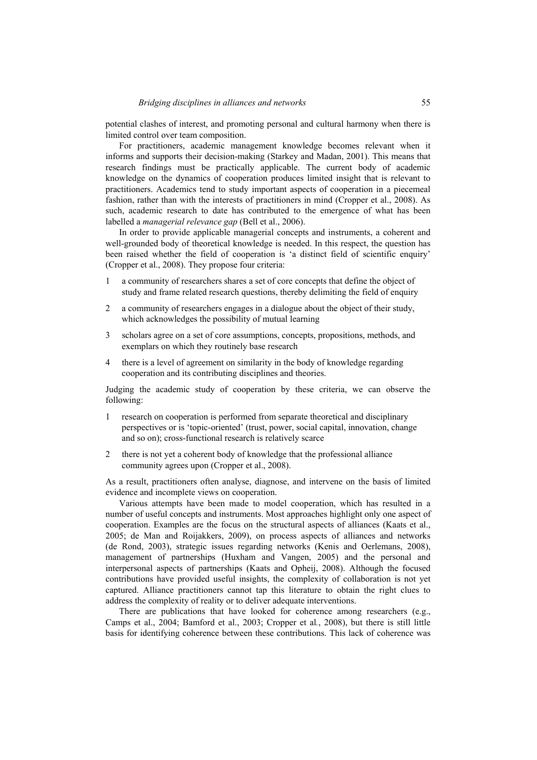potential clashes of interest, and promoting personal and cultural harmony when there is limited control over team composition.

For practitioners, academic management knowledge becomes relevant when it informs and supports their decision-making (Starkey and Madan, 2001). This means that research findings must be practically applicable. The current body of academic knowledge on the dynamics of cooperation produces limited insight that is relevant to practitioners. Academics tend to study important aspects of cooperation in a piecemeal fashion, rather than with the interests of practitioners in mind (Cropper et al., 2008). As such, academic research to date has contributed to the emergence of what has been labelled a *managerial relevance gap* (Bell et al., 2006).

In order to provide applicable managerial concepts and instruments, a coherent and well-grounded body of theoretical knowledge is needed. In this respect, the question has been raised whether the field of cooperation is 'a distinct field of scientific enquiry' (Cropper et al., 2008). They propose four criteria:

- 1 a community of researchers shares a set of core concepts that define the object of study and frame related research questions, thereby delimiting the field of enquiry
- 2 a community of researchers engages in a dialogue about the object of their study, which acknowledges the possibility of mutual learning
- 3 scholars agree on a set of core assumptions, concepts, propositions, methods, and exemplars on which they routinely base research
- 4 there is a level of agreement on similarity in the body of knowledge regarding cooperation and its contributing disciplines and theories.

Judging the academic study of cooperation by these criteria, we can observe the following:

- 1 research on cooperation is performed from separate theoretical and disciplinary perspectives or is 'topic-oriented' (trust, power, social capital, innovation, change and so on); cross-functional research is relatively scarce
- 2 there is not yet a coherent body of knowledge that the professional alliance community agrees upon (Cropper et al., 2008).

As a result, practitioners often analyse, diagnose, and intervene on the basis of limited evidence and incomplete views on cooperation.

Various attempts have been made to model cooperation, which has resulted in a number of useful concepts and instruments. Most approaches highlight only one aspect of cooperation. Examples are the focus on the structural aspects of alliances (Kaats et al., 2005; de Man and Roijakkers, 2009), on process aspects of alliances and networks (de Rond, 2003), strategic issues regarding networks (Kenis and Oerlemans, 2008), management of partnerships (Huxham and Vangen, 2005) and the personal and interpersonal aspects of partnerships (Kaats and Opheij, 2008). Although the focused contributions have provided useful insights, the complexity of collaboration is not yet captured. Alliance practitioners cannot tap this literature to obtain the right clues to address the complexity of reality or to deliver adequate interventions.

There are publications that have looked for coherence among researchers (e.g., Camps et al., 2004; Bamford et al., 2003; Cropper et al*.*, 2008), but there is still little basis for identifying coherence between these contributions. This lack of coherence was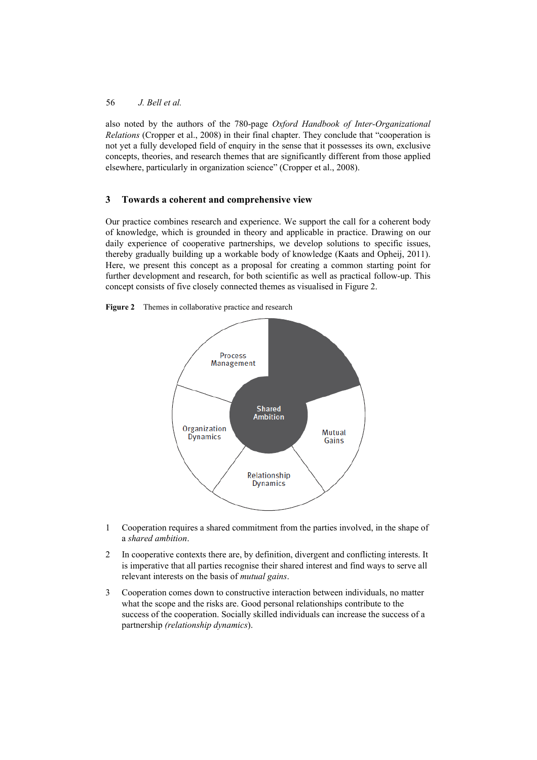also noted by the authors of the 780-page *Oxford Handbook of Inter-Organizational Relations* (Cropper et al., 2008) in their final chapter. They conclude that "cooperation is not yet a fully developed field of enquiry in the sense that it possesses its own, exclusive concepts, theories, and research themes that are significantly different from those applied elsewhere, particularly in organization science" (Cropper et al., 2008).

#### **3 Towards a coherent and comprehensive view**

Our practice combines research and experience. We support the call for a coherent body of knowledge, which is grounded in theory and applicable in practice. Drawing on our daily experience of cooperative partnerships, we develop solutions to specific issues, thereby gradually building up a workable body of knowledge (Kaats and Opheij, 2011). Here, we present this concept as a proposal for creating a common starting point for further development and research, for both scientific as well as practical follow-up. This concept consists of five closely connected themes as visualised in Figure 2.





- 1 Cooperation requires a shared commitment from the parties involved, in the shape of a *shared ambition*.
- 2 In cooperative contexts there are, by definition, divergent and conflicting interests. It is imperative that all parties recognise their shared interest and find ways to serve all relevant interests on the basis of *mutual gains*.
- 3 Cooperation comes down to constructive interaction between individuals, no matter what the scope and the risks are. Good personal relationships contribute to the success of the cooperation. Socially skilled individuals can increase the success of a partnership *(relationship dynamics*).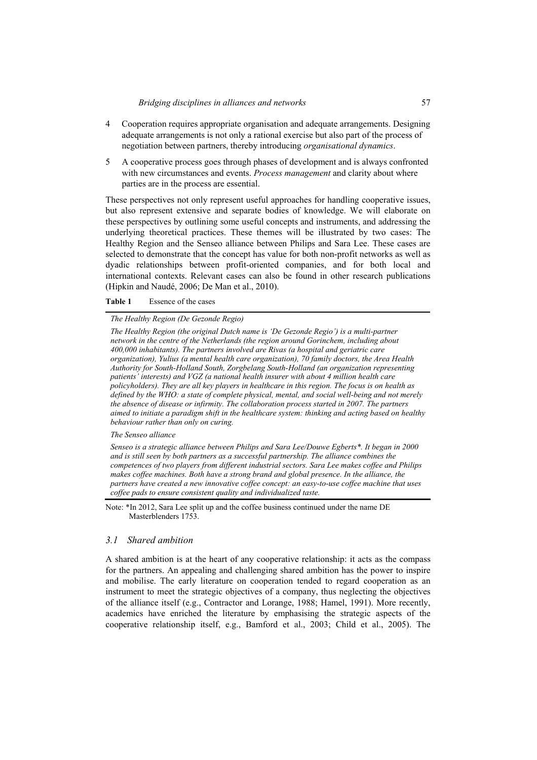- 4 Cooperation requires appropriate organisation and adequate arrangements. Designing adequate arrangements is not only a rational exercise but also part of the process of negotiation between partners, thereby introducing *organisational dynamics*.
- 5 A cooperative process goes through phases of development and is always confronted with new circumstances and events. *Process management* and clarity about where parties are in the process are essential.

These perspectives not only represent useful approaches for handling cooperative issues, but also represent extensive and separate bodies of knowledge. We will elaborate on these perspectives by outlining some useful concepts and instruments, and addressing the underlying theoretical practices. These themes will be illustrated by two cases: The Healthy Region and the Senseo alliance between Philips and Sara Lee. These cases are selected to demonstrate that the concept has value for both non-profit networks as well as dyadic relationships between profit-oriented companies, and for both local and international contexts. Relevant cases can also be found in other research publications (Hipkin and Naudé, 2006; De Man et al., 2010).

**Table 1** Essence of the cases

#### *The Healthy Region (De Gezonde Regio)*

*The Healthy Region (the original Dutch name is 'De Gezonde Regio') is a multi-partner network in the centre of the Netherlands (the region around Gorinchem, including about 400,000 inhabitants). The partners involved are Rivas (a hospital and geriatric care organization), Yulius (a mental health care organization), 70 family doctors, the Area Health Authority for South-Holland South, Zorgbelang South-Holland (an organization representing patients' interests) and VGZ (a national health insurer with about 4 million health care policyholders). They are all key players in healthcare in this region. The focus is on health as defined by the WHO: a state of complete physical, mental, and social well-being and not merely the absence of disease or infirmity. The collaboration process started in 2007. The partners aimed to initiate a paradigm shift in the healthcare system: thinking and acting based on healthy behaviour rather than only on curing.* 

#### *The Senseo alliance*

*Senseo is a strategic alliance between Philips and Sara Lee/Douwe Egberts\*. It began in 2000 and is still seen by both partners as a successful partnership. The alliance combines the competences of two players from different industrial sectors. Sara Lee makes coffee and Philips makes coffee machines. Both have a strong brand and global presence. In the alliance, the partners have created a new innovative coffee concept: an easy-to-use coffee machine that uses coffee pads to ensure consistent quality and individualized taste.* 

#### *3.1 Shared ambition*

A shared ambition is at the heart of any cooperative relationship: it acts as the compass for the partners. An appealing and challenging shared ambition has the power to inspire and mobilise. The early literature on cooperation tended to regard cooperation as an instrument to meet the strategic objectives of a company, thus neglecting the objectives of the alliance itself (e.g., Contractor and Lorange, 1988; Hamel, 1991). More recently, academics have enriched the literature by emphasising the strategic aspects of the cooperative relationship itself, e.g., Bamford et al., 2003; Child et al., 2005). The

Note: \*In 2012, Sara Lee split up and the coffee business continued under the name DE Masterblenders 1753.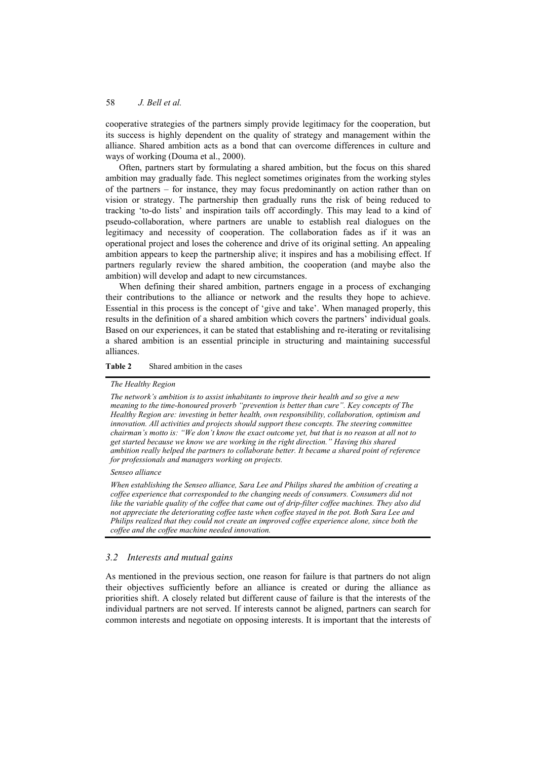cooperative strategies of the partners simply provide legitimacy for the cooperation, but its success is highly dependent on the quality of strategy and management within the alliance. Shared ambition acts as a bond that can overcome differences in culture and ways of working (Douma et al., 2000).

Often, partners start by formulating a shared ambition, but the focus on this shared ambition may gradually fade. This neglect sometimes originates from the working styles of the partners – for instance, they may focus predominantly on action rather than on vision or strategy. The partnership then gradually runs the risk of being reduced to tracking 'to-do lists' and inspiration tails off accordingly. This may lead to a kind of pseudo-collaboration, where partners are unable to establish real dialogues on the legitimacy and necessity of cooperation. The collaboration fades as if it was an operational project and loses the coherence and drive of its original setting. An appealing ambition appears to keep the partnership alive; it inspires and has a mobilising effect. If partners regularly review the shared ambition, the cooperation (and maybe also the ambition) will develop and adapt to new circumstances.

When defining their shared ambition, partners engage in a process of exchanging their contributions to the alliance or network and the results they hope to achieve. Essential in this process is the concept of 'give and take'. When managed properly, this results in the definition of a shared ambition which covers the partners' individual goals. Based on our experiences, it can be stated that establishing and re-iterating or revitalising a shared ambition is an essential principle in structuring and maintaining successful alliances.

#### **Table 2** Shared ambition in the cases

#### *The Healthy Region*

*The network's ambition is to assist inhabitants to improve their health and so give a new meaning to the time-honoured proverb "prevention is better than cure". Key concepts of The Healthy Region are: investing in better health, own responsibility, collaboration, optimism and innovation. All activities and projects should support these concepts. The steering committee chairman's motto is: "We don't know the exact outcome yet, but that is no reason at all not to get started because we know we are working in the right direction." Having this shared ambition really helped the partners to collaborate better. It became a shared point of reference for professionals and managers working on projects.* 

#### *Senseo alliance*

*When establishing the Senseo alliance, Sara Lee and Philips shared the ambition of creating a coffee experience that corresponded to the changing needs of consumers. Consumers did not like the variable quality of the coffee that came out of drip-filter coffee machines. They also did not appreciate the deteriorating coffee taste when coffee stayed in the pot. Both Sara Lee and Philips realized that they could not create an improved coffee experience alone, since both the coffee and the coffee machine needed innovation.* 

## *3.2 Interests and mutual gains*

As mentioned in the previous section, one reason for failure is that partners do not align their objectives sufficiently before an alliance is created or during the alliance as priorities shift. A closely related but different cause of failure is that the interests of the individual partners are not served. If interests cannot be aligned, partners can search for common interests and negotiate on opposing interests. It is important that the interests of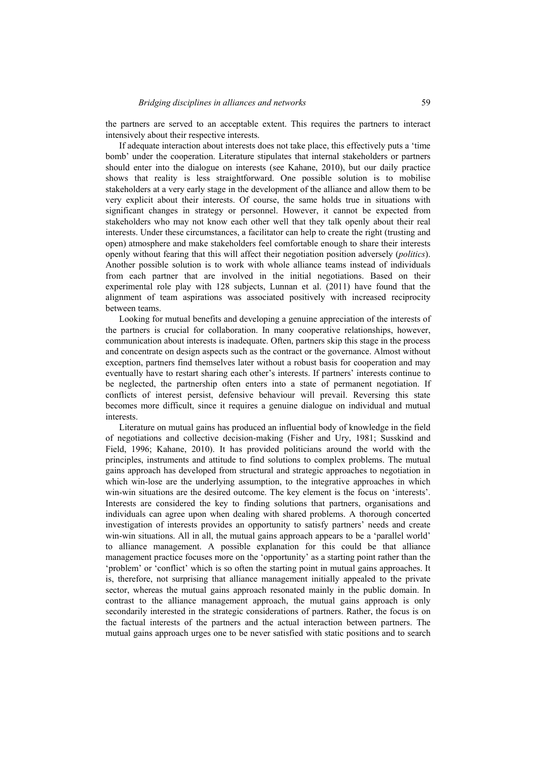the partners are served to an acceptable extent. This requires the partners to interact intensively about their respective interests.

If adequate interaction about interests does not take place, this effectively puts a 'time bomb' under the cooperation. Literature stipulates that internal stakeholders or partners should enter into the dialogue on interests (see Kahane, 2010), but our daily practice shows that reality is less straightforward. One possible solution is to mobilise stakeholders at a very early stage in the development of the alliance and allow them to be very explicit about their interests. Of course, the same holds true in situations with significant changes in strategy or personnel. However, it cannot be expected from stakeholders who may not know each other well that they talk openly about their real interests. Under these circumstances, a facilitator can help to create the right (trusting and open) atmosphere and make stakeholders feel comfortable enough to share their interests openly without fearing that this will affect their negotiation position adversely (*politics*). Another possible solution is to work with whole alliance teams instead of individuals from each partner that are involved in the initial negotiations. Based on their experimental role play with 128 subjects, Lunnan et al. (2011) have found that the alignment of team aspirations was associated positively with increased reciprocity between teams.

Looking for mutual benefits and developing a genuine appreciation of the interests of the partners is crucial for collaboration. In many cooperative relationships, however, communication about interests is inadequate. Often, partners skip this stage in the process and concentrate on design aspects such as the contract or the governance. Almost without exception, partners find themselves later without a robust basis for cooperation and may eventually have to restart sharing each other's interests. If partners' interests continue to be neglected, the partnership often enters into a state of permanent negotiation. If conflicts of interest persist, defensive behaviour will prevail. Reversing this state becomes more difficult, since it requires a genuine dialogue on individual and mutual interests.

Literature on mutual gains has produced an influential body of knowledge in the field of negotiations and collective decision-making (Fisher and Ury, 1981; Susskind and Field, 1996; Kahane, 2010). It has provided politicians around the world with the principles, instruments and attitude to find solutions to complex problems. The mutual gains approach has developed from structural and strategic approaches to negotiation in which win-lose are the underlying assumption, to the integrative approaches in which win-win situations are the desired outcome. The key element is the focus on 'interests'. Interests are considered the key to finding solutions that partners, organisations and individuals can agree upon when dealing with shared problems. A thorough concerted investigation of interests provides an opportunity to satisfy partners' needs and create win-win situations. All in all, the mutual gains approach appears to be a 'parallel world' to alliance management. A possible explanation for this could be that alliance management practice focuses more on the 'opportunity' as a starting point rather than the 'problem' or 'conflict' which is so often the starting point in mutual gains approaches. It is, therefore, not surprising that alliance management initially appealed to the private sector, whereas the mutual gains approach resonated mainly in the public domain. In contrast to the alliance management approach, the mutual gains approach is only secondarily interested in the strategic considerations of partners. Rather, the focus is on the factual interests of the partners and the actual interaction between partners. The mutual gains approach urges one to be never satisfied with static positions and to search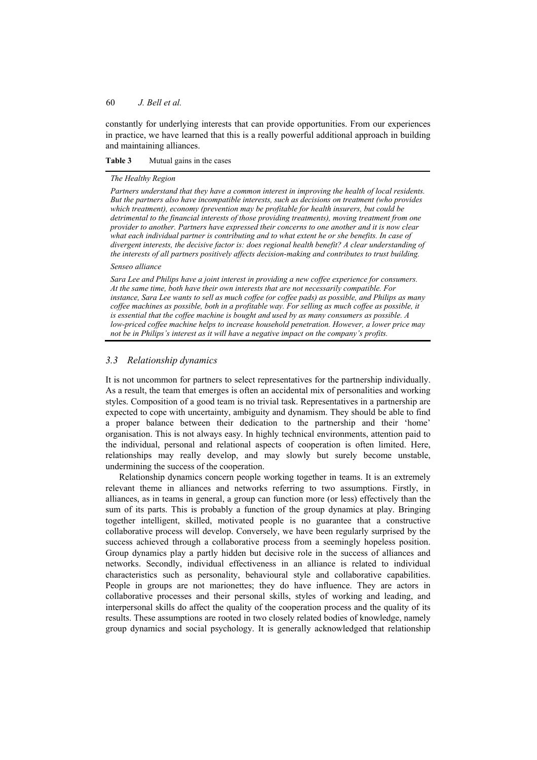constantly for underlying interests that can provide opportunities. From our experiences in practice, we have learned that this is a really powerful additional approach in building and maintaining alliances.

## Table 3 Mutual gains in the cases

#### *The Healthy Region*

*Partners understand that they have a common interest in improving the health of local residents. But the partners also have incompatible interests, such as decisions on treatment (who provides which treatment), economy (prevention may be profitable for health insurers, but could be detrimental to the financial interests of those providing treatments), moving treatment from one provider to another. Partners have expressed their concerns to one another and it is now clear what each individual partner is contributing and to what extent he or she benefits. In case of divergent interests, the decisive factor is: does regional health benefit? A clear understanding of the interests of all partners positively affects decision-making and contributes to trust building.* 

#### *Senseo alliance*

*Sara Lee and Philips have a joint interest in providing a new coffee experience for consumers. At the same time, both have their own interests that are not necessarily compatible. For instance, Sara Lee wants to sell as much coffee (or coffee pads) as possible, and Philips as many coffee machines as possible, both in a profitable way. For selling as much coffee as possible, it is essential that the coffee machine is bought and used by as many consumers as possible. A low-priced coffee machine helps to increase household penetration. However, a lower price may not be in Philips's interest as it will have a negative impact on the company's profits.* 

### *3.3 Relationship dynamics*

It is not uncommon for partners to select representatives for the partnership individually. As a result, the team that emerges is often an accidental mix of personalities and working styles. Composition of a good team is no trivial task. Representatives in a partnership are expected to cope with uncertainty, ambiguity and dynamism. They should be able to find a proper balance between their dedication to the partnership and their 'home' organisation. This is not always easy. In highly technical environments, attention paid to the individual, personal and relational aspects of cooperation is often limited. Here, relationships may really develop, and may slowly but surely become unstable, undermining the success of the cooperation.

Relationship dynamics concern people working together in teams. It is an extremely relevant theme in alliances and networks referring to two assumptions. Firstly, in alliances, as in teams in general, a group can function more (or less) effectively than the sum of its parts. This is probably a function of the group dynamics at play. Bringing together intelligent, skilled, motivated people is no guarantee that a constructive collaborative process will develop. Conversely, we have been regularly surprised by the success achieved through a collaborative process from a seemingly hopeless position. Group dynamics play a partly hidden but decisive role in the success of alliances and networks. Secondly, individual effectiveness in an alliance is related to individual characteristics such as personality, behavioural style and collaborative capabilities. People in groups are not marionettes; they do have influence. They are actors in collaborative processes and their personal skills, styles of working and leading, and interpersonal skills do affect the quality of the cooperation process and the quality of its results. These assumptions are rooted in two closely related bodies of knowledge, namely group dynamics and social psychology. It is generally acknowledged that relationship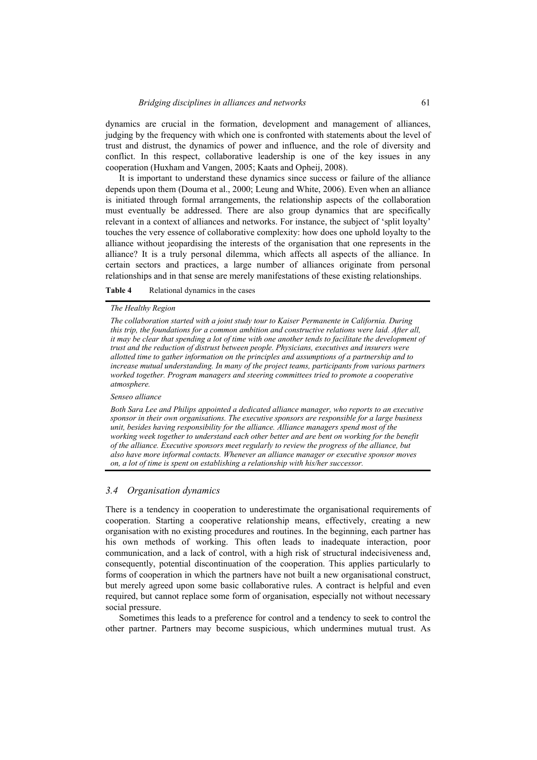dynamics are crucial in the formation, development and management of alliances, judging by the frequency with which one is confronted with statements about the level of trust and distrust, the dynamics of power and influence, and the role of diversity and conflict. In this respect, collaborative leadership is one of the key issues in any cooperation (Huxham and Vangen, 2005; Kaats and Opheij, 2008).

It is important to understand these dynamics since success or failure of the alliance depends upon them (Douma et al., 2000; Leung and White, 2006). Even when an alliance is initiated through formal arrangements, the relationship aspects of the collaboration must eventually be addressed. There are also group dynamics that are specifically relevant in a context of alliances and networks. For instance, the subject of 'split loyalty' touches the very essence of collaborative complexity: how does one uphold loyalty to the alliance without jeopardising the interests of the organisation that one represents in the alliance? It is a truly personal dilemma, which affects all aspects of the alliance. In certain sectors and practices, a large number of alliances originate from personal relationships and in that sense are merely manifestations of these existing relationships.

Table 4 Relational dynamics in the cases

#### *The Healthy Region*

*The collaboration started with a joint study tour to Kaiser Permanente in California. During this trip, the foundations for a common ambition and constructive relations were laid. After all, it may be clear that spending a lot of time with one another tends to facilitate the development of trust and the reduction of distrust between people. Physicians, executives and insurers were allotted time to gather information on the principles and assumptions of a partnership and to increase mutual understanding. In many of the project teams, participants from various partners worked together. Program managers and steering committees tried to promote a cooperative atmosphere.* 

#### *Senseo alliance*

*Both Sara Lee and Philips appointed a dedicated alliance manager, who reports to an executive sponsor in their own organisations. The executive sponsors are responsible for a large business unit, besides having responsibility for the alliance. Alliance managers spend most of the working week together to understand each other better and are bent on working for the benefit of the alliance. Executive sponsors meet regularly to review the progress of the alliance, but also have more informal contacts. Whenever an alliance manager or executive sponsor moves on, a lot of time is spent on establishing a relationship with his/her successor.* 

#### *3.4 Organisation dynamics*

There is a tendency in cooperation to underestimate the organisational requirements of cooperation. Starting a cooperative relationship means, effectively, creating a new organisation with no existing procedures and routines. In the beginning, each partner has his own methods of working. This often leads to inadequate interaction, poor communication, and a lack of control, with a high risk of structural indecisiveness and, consequently, potential discontinuation of the cooperation. This applies particularly to forms of cooperation in which the partners have not built a new organisational construct, but merely agreed upon some basic collaborative rules. A contract is helpful and even required, but cannot replace some form of organisation, especially not without necessary social pressure.

Sometimes this leads to a preference for control and a tendency to seek to control the other partner. Partners may become suspicious, which undermines mutual trust. As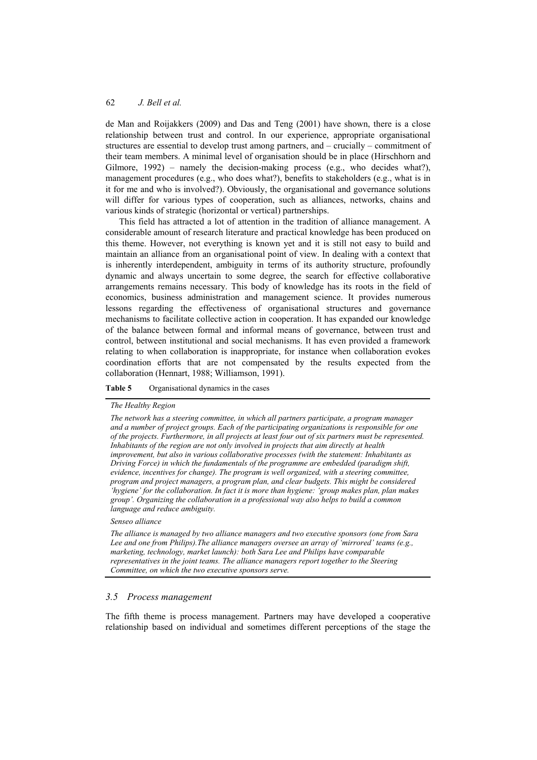de Man and Roijakkers (2009) and Das and Teng (2001) have shown, there is a close relationship between trust and control. In our experience, appropriate organisational structures are essential to develop trust among partners, and – crucially – commitment of their team members. A minimal level of organisation should be in place (Hirschhorn and Gilmore, 1992) – namely the decision-making process (e.g., who decides what?), management procedures (e.g., who does what?), benefits to stakeholders (e.g., what is in it for me and who is involved?). Obviously, the organisational and governance solutions will differ for various types of cooperation, such as alliances, networks, chains and various kinds of strategic (horizontal or vertical) partnerships.

This field has attracted a lot of attention in the tradition of alliance management. A considerable amount of research literature and practical knowledge has been produced on this theme. However, not everything is known yet and it is still not easy to build and maintain an alliance from an organisational point of view. In dealing with a context that is inherently interdependent, ambiguity in terms of its authority structure, profoundly dynamic and always uncertain to some degree, the search for effective collaborative arrangements remains necessary. This body of knowledge has its roots in the field of economics, business administration and management science. It provides numerous lessons regarding the effectiveness of organisational structures and governance mechanisms to facilitate collective action in cooperation. It has expanded our knowledge of the balance between formal and informal means of governance, between trust and control, between institutional and social mechanisms. It has even provided a framework relating to when collaboration is inappropriate, for instance when collaboration evokes coordination efforts that are not compensated by the results expected from the collaboration (Hennart, 1988; Williamson, 1991).

#### **Table 5** Organisational dynamics in the cases

*The Healthy Region* 

*The network has a steering committee, in which all partners participate, a program manager and a number of project groups. Each of the participating organizations is responsible for one of the projects. Furthermore, in all projects at least four out of six partners must be represented. Inhabitants of the region are not only involved in projects that aim directly at health improvement, but also in various collaborative processes (with the statement: Inhabitants as Driving Force) in which the fundamentals of the programme are embedded (paradigm shift, evidence, incentives for change). The program is well organized, with a steering committee, program and project managers, a program plan, and clear budgets. This might be considered 'hygiene' for the collaboration. In fact it is more than hygiene: 'group makes plan, plan makes group'. Organizing the collaboration in a professional way also helps to build a common language and reduce ambiguity.* 

#### *Senseo alliance*

*The alliance is managed by two alliance managers and two executive sponsors (one from Sara Lee and one from Philips).The alliance managers oversee an array of 'mirrored' teams (e.g., marketing, technology, market launch): both Sara Lee and Philips have comparable representatives in the joint teams. The alliance managers report together to the Steering Committee, on which the two executive sponsors serve.* 

#### *3.5 Process management*

The fifth theme is process management. Partners may have developed a cooperative relationship based on individual and sometimes different perceptions of the stage the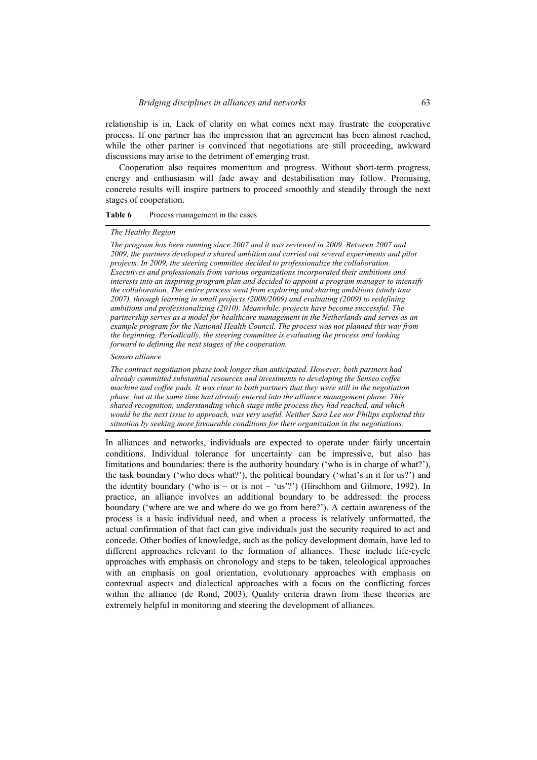relationship is in. Lack of clarity on what comes next may frustrate the cooperative process. If one partner has the impression that an agreement has been almost reached, while the other partner is convinced that negotiations are still proceeding, awkward discussions may arise to the detriment of emerging trust.

Cooperation also requires momentum and progress. Without short-term progress, energy and enthusiasm will fade away and destabilisation may follow. Promising, concrete results will inspire partners to proceed smoothly and steadily through the next stages of cooperation.

#### **Table 6** Process management in the cases

#### *The Healthy Region*

*The program has been running since 2007 and it was reviewed in 2009. Between 2007 and 2009, the partners developed a shared ambition and carried out several experiments and pilot projects. In 2009, the steering committee decided to professionalize the collaboration. Executives and professionals from various organizations incorporated their ambitions and interests into an inspiring program plan and decided to appoint a program manager to intensify the collaboration. The entire process went from exploring and sharing ambitions (study tour 2007), through learning in small projects (2008/2009) and evaluating (2009) to redefining ambitions and professionalizing (2010). Meanwhile, projects have become successful. The partnership serves as a model for healthcare management in the Netherlands and serves as an example program for the National Health Council. The process was not planned this way from the beginning. Periodically, the steering committee is evaluating the process and looking forward to defining the next stages of the cooperation.* 

#### *Senseo alliance*

*The contract negotiation phase took longer than anticipated. However, both partners had already committed substantial resources and investments to developing the Senseo coffee machine and coffee pads. It was clear to both partners that they were still in the negotiation phase, but at the same time had already entered into the alliance management phase. This shared recognition, understanding which stage inthe process they had reached, and which would be the next issue to approach, was very useful. Neither Sara Lee nor Philips exploited this situation by seeking more favourable conditions for their organization in the negotiations.* 

In alliances and networks, individuals are expected to operate under fairly uncertain conditions. Individual tolerance for uncertainty can be impressive, but also has limitations and boundaries: there is the authority boundary ('who is in charge of what?'), the task boundary ('who does what?'), the political boundary ('what's in it for us?') and the identity boundary ('who is – or is not – 'us'?') (Hirschhorn and Gilmore, 1992). In practice, an alliance involves an additional boundary to be addressed: the process boundary ('where are we and where do we go from here?'). A certain awareness of the process is a basic individual need, and when a process is relatively unformatted, the actual confirmation of that fact can give individuals just the security required to act and concede. Other bodies of knowledge, such as the policy development domain, have led to different approaches relevant to the formation of alliances. These include life-cycle approaches with emphasis on chronology and steps to be taken, teleological approaches with an emphasis on goal orientation, evolutionary approaches with emphasis on contextual aspects and dialectical approaches with a focus on the conflicting forces within the alliance (de Rond, 2003). Quality criteria drawn from these theories are extremely helpful in monitoring and steering the development of alliances.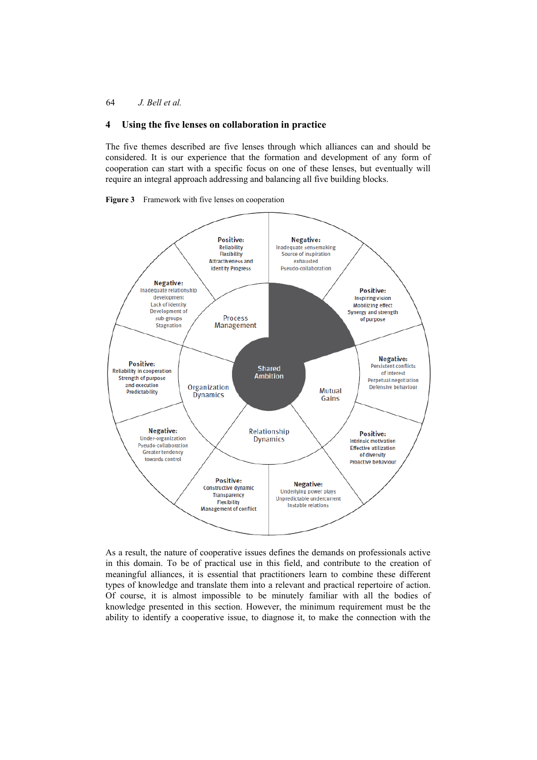## **4 Using the five lenses on collaboration in practice**

The five themes described are five lenses through which alliances can and should be considered. It is our experience that the formation and development of any form of cooperation can start with a specific focus on one of these lenses, but eventually will require an integral approach addressing and balancing all five building blocks.





As a result, the nature of cooperative issues defines the demands on professionals active in this domain. To be of practical use in this field, and contribute to the creation of meaningful alliances, it is essential that practitioners learn to combine these different types of knowledge and translate them into a relevant and practical repertoire of action. Of course, it is almost impossible to be minutely familiar with all the bodies of knowledge presented in this section. However, the minimum requirement must be the ability to identify a cooperative issue, to diagnose it, to make the connection with the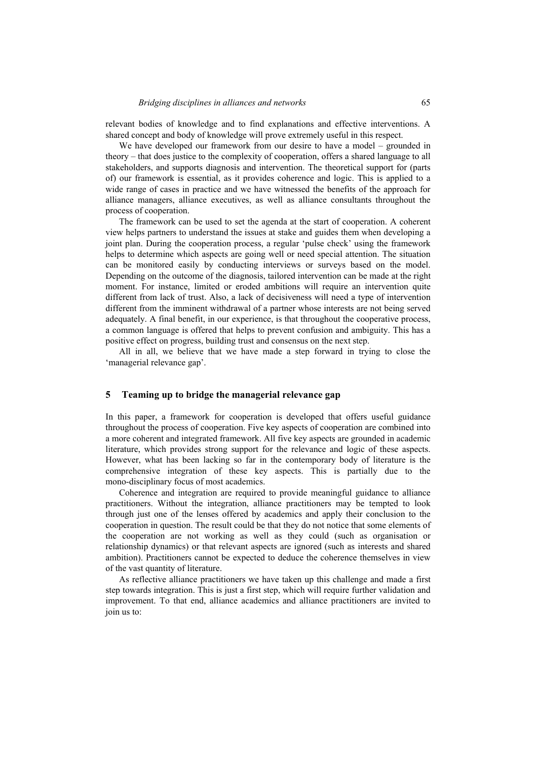relevant bodies of knowledge and to find explanations and effective interventions. A shared concept and body of knowledge will prove extremely useful in this respect.

We have developed our framework from our desire to have a model – grounded in theory – that does justice to the complexity of cooperation, offers a shared language to all stakeholders, and supports diagnosis and intervention. The theoretical support for (parts of) our framework is essential, as it provides coherence and logic. This is applied to a wide range of cases in practice and we have witnessed the benefits of the approach for alliance managers, alliance executives, as well as alliance consultants throughout the process of cooperation.

The framework can be used to set the agenda at the start of cooperation. A coherent view helps partners to understand the issues at stake and guides them when developing a joint plan. During the cooperation process, a regular 'pulse check' using the framework helps to determine which aspects are going well or need special attention. The situation can be monitored easily by conducting interviews or surveys based on the model. Depending on the outcome of the diagnosis, tailored intervention can be made at the right moment. For instance, limited or eroded ambitions will require an intervention quite different from lack of trust. Also, a lack of decisiveness will need a type of intervention different from the imminent withdrawal of a partner whose interests are not being served adequately. A final benefit, in our experience, is that throughout the cooperative process, a common language is offered that helps to prevent confusion and ambiguity. This has a positive effect on progress, building trust and consensus on the next step.

All in all, we believe that we have made a step forward in trying to close the 'managerial relevance gap'.

## **5 Teaming up to bridge the managerial relevance gap**

In this paper, a framework for cooperation is developed that offers useful guidance throughout the process of cooperation. Five key aspects of cooperation are combined into a more coherent and integrated framework. All five key aspects are grounded in academic literature, which provides strong support for the relevance and logic of these aspects. However, what has been lacking so far in the contemporary body of literature is the comprehensive integration of these key aspects. This is partially due to the mono-disciplinary focus of most academics.

Coherence and integration are required to provide meaningful guidance to alliance practitioners. Without the integration, alliance practitioners may be tempted to look through just one of the lenses offered by academics and apply their conclusion to the cooperation in question. The result could be that they do not notice that some elements of the cooperation are not working as well as they could (such as organisation or relationship dynamics) or that relevant aspects are ignored (such as interests and shared ambition). Practitioners cannot be expected to deduce the coherence themselves in view of the vast quantity of literature.

As reflective alliance practitioners we have taken up this challenge and made a first step towards integration. This is just a first step, which will require further validation and improvement. To that end, alliance academics and alliance practitioners are invited to join us to: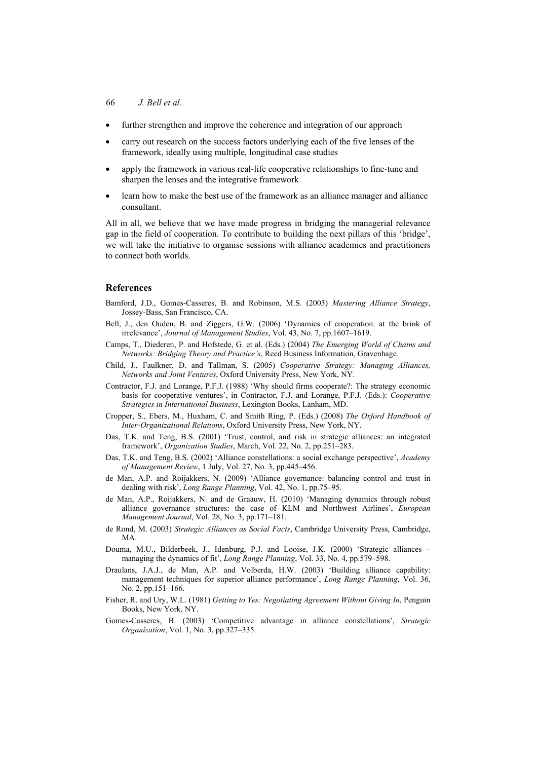- further strengthen and improve the coherence and integration of our approach
- carry out research on the success factors underlying each of the five lenses of the framework, ideally using multiple, longitudinal case studies
- apply the framework in various real-life cooperative relationships to fine-tune and sharpen the lenses and the integrative framework
- learn how to make the best use of the framework as an alliance manager and alliance consultant.

All in all, we believe that we have made progress in bridging the managerial relevance gap in the field of cooperation. To contribute to building the next pillars of this 'bridge', we will take the initiative to organise sessions with alliance academics and practitioners to connect both worlds.

#### **References**

- Bamford, J.D., Gomes-Casseres, B. and Robinson, M.S. (2003) *Mastering Alliance Strategy*, Jossey-Bass, San Francisco, CA.
- Bell, J., den Ouden, B. and Ziggers, G.W. (2006) 'Dynamics of cooperation: at the brink of irrelevance', *Journal of Management Studies*, Vol. 43, No. 7, pp.1607–1619.
- Camps, T., Diederen, P. and Hofstede, G. et al. (Eds.) (2004) *The Emerging World of Chains and Networks: Bridging Theory and Practice's*, Reed Business Information, Gravenhage.
- Child, J., Faulkner, D. and Tallman, S. (2005) *Cooperative Strategy: Managing Alliances, Networks and Joint Ventures*, Oxford University Press, New York, NY.
- Contractor, F.J. and Lorange, P.F.J. (1988) 'Why should firms cooperate?: The strategy economic basis for cooperative ventures', in Contractor, F.J. and Lorange, P.F.J. (Eds.): *Cooperative Strategies in International Business*, Lexington Books, Lanham, MD.
- Cropper, S., Ebers, M., Huxham, C. and Smith Ring, P. (Eds.) (2008) *The Oxford Handbook of Inter-Organizational Relations*, Oxford University Press, New York, NY.
- Das, T.K. and Teng, B.S. (2001) 'Trust, control, and risk in strategic alliances: an integrated framework', *Organization Studies*, March, Vol. 22, No. 2, pp.251–283.
- Das, T.K. and Teng, B.S. (2002) 'Alliance constellations: a social exchange perspective', *Academy of Management Review*, 1 July, Vol. 27, No. 3, pp.445–456.
- de Man, A.P. and Roijakkers, N. (2009) 'Alliance governance: balancing control and trust in dealing with risk', *Long Range Planning*, Vol. 42, No. 1, pp.75–95.
- de Man, A.P., Roijakkers, N. and de Graauw, H. (2010) 'Managing dynamics through robust alliance governance structures: the case of KLM and Northwest Airlines', *European Management Journal*, Vol. 28, No. 3, pp.171–181.
- de Rond, M. (2003) *Strategic Alliances as Social Facts*, Cambridge University Press, Cambridge, MA.
- Douma, M.U., Bilderbeek, J., Idenburg, P.J. and Looise, J.K. (2000) 'Strategic alliances managing the dynamics of fit', *Long Range Planning*, Vol. 33, No. 4, pp.579–598.
- Draulans, J.A.J., de Man, A.P. and Volberda, H.W. (2003) 'Building alliance capability: management techniques for superior alliance performance', *Long Range Planning*, Vol. 36, No. 2, pp.151–166.
- Fisher, R. and Ury, W.L. (1981) *Getting to Yes: Negotiating Agreement Without Giving In*, Penguin Books, New York, NY.
- Gomes-Casseres, B. (2003) 'Competitive advantage in alliance constellations', *Strategic Organization*, Vol. 1, No. 3, pp.327–335.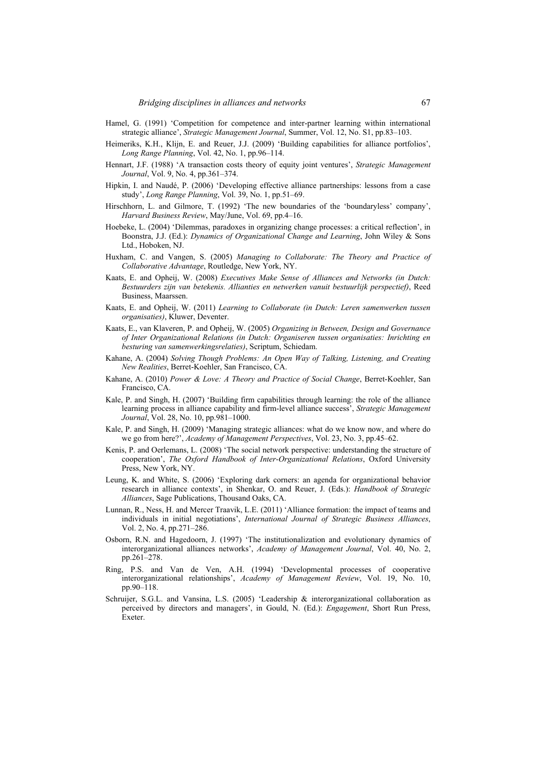- Hamel, G. (1991) 'Competition for competence and inter-partner learning within international strategic alliance', *Strategic Management Journal*, Summer, Vol. 12, No. S1, pp.83–103.
- Heimeriks, K.H., Klijn, E. and Reuer, J.J. (2009) 'Building capabilities for alliance portfolios', *Long Range Planning*, Vol. 42, No. 1, pp.96–114.
- Hennart, J.F. (1988) 'A transaction costs theory of equity joint ventures', *Strategic Management Journal*, Vol. 9, No. 4, pp.361–374.
- Hipkin, I. and Naudé, P. (2006) 'Developing effective alliance partnerships: lessons from a case study', *Long Range Planning*, Vol. 39, No. 1, pp.51–69.
- Hirschhorn, L. and Gilmore, T. (1992) 'The new boundaries of the 'boundaryless' company', *Harvard Business Review*, May/June, Vol. 69, pp.4–16.
- Hoebeke, L. (2004) 'Dilemmas, paradoxes in organizing change processes: a critical reflection', in Boonstra, J.J. (Ed.): *Dynamics of Organizational Change and Learning*, John Wiley & Sons Ltd., Hoboken, NJ.
- Huxham, C. and Vangen, S. (2005) *Managing to Collaborate: The Theory and Practice of Collaborative Advantage*, Routledge, New York, NY.
- Kaats, E. and Opheij, W. (2008) *Executives Make Sense of Alliances and Networks (in Dutch: Bestuurders zijn van betekenis. Allianties en netwerken vanuit bestuurlijk perspectief)*, Reed Business, Maarssen.
- Kaats, E. and Opheij, W. (2011) *Learning to Collaborate (in Dutch: Leren samenwerken tussen organisaties)*, Kluwer, Deventer.
- Kaats, E., van Klaveren, P. and Opheij, W. (2005) *Organizing in Between, Design and Governance of Inter Organizational Relations (in Dutch: Organiseren tussen organisaties: Inrichting en besturing van samenwerkingsrelaties)*, Scriptum, Schiedam.
- Kahane, A. (2004) *Solving Though Problems: An Open Way of Talking, Listening, and Creating New Realities*, Berret-Koehler, San Francisco, CA.
- Kahane, A. (2010) *Power & Love: A Theory and Practice of Social Change*, Berret-Koehler, San Francisco, CA.
- Kale, P. and Singh, H. (2007) 'Building firm capabilities through learning: the role of the alliance learning process in alliance capability and firm-level alliance success', *Strategic Management Journal*, Vol. 28, No. 10, pp.981–1000.
- Kale, P. and Singh, H. (2009) 'Managing strategic alliances: what do we know now, and where do we go from here?', *Academy of Management Perspectives*, Vol. 23, No. 3, pp.45–62.
- Kenis, P. and Oerlemans, L. (2008) 'The social network perspective: understanding the structure of cooperation', *The Oxford Handbook of Inter-Organizational Relations*, Oxford University Press, New York, NY.
- Leung, K. and White, S. (2006) 'Exploring dark corners: an agenda for organizational behavior research in alliance contexts', in Shenkar, O. and Reuer, J. (Eds.): *Handbook of Strategic Alliances*, Sage Publications, Thousand Oaks, CA.
- Lunnan, R., Ness, H. and Mercer Traavik, L.E. (2011) 'Alliance formation: the impact of teams and individuals in initial negotiations', *International Journal of Strategic Business Alliances*, Vol. 2, No. 4, pp.271–286.
- Osborn, R.N. and Hagedoorn, J. (1997) 'The institutionalization and evolutionary dynamics of interorganizational alliances networks', *Academy of Management Journal*, Vol. 40, No. 2, pp.261–278.
- Ring, P.S. and Van de Ven, A.H. (1994) 'Developmental processes of cooperative interorganizational relationships', *Academy of Management Review*, Vol. 19, No. 10, pp.90–118.
- Schruijer, S.G.L. and Vansina, L.S. (2005) 'Leadership & interorganizational collaboration as perceived by directors and managers', in Gould, N. (Ed.): *Engagement*, Short Run Press, Exeter.